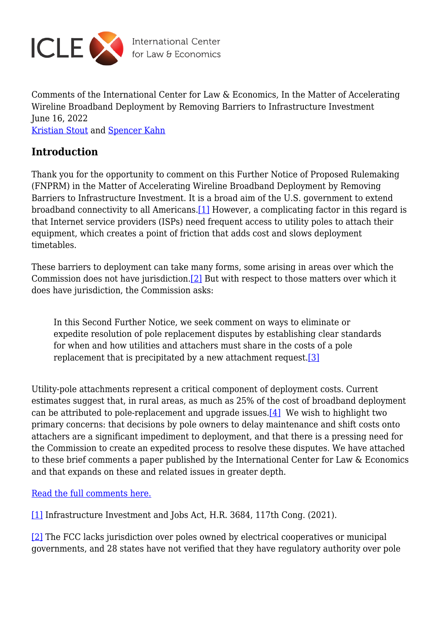

Comments of the International Center for Law & Economics, In the Matter of Accelerating Wireline Broadband Deployment by Removing Barriers to Infrastructure Investment June 16, 2022 [Kristian Stout](https://laweconcenter.org/author/kristian/) and [Spencer Kahn](https://laweconcenter.org/author/skahn/)

## **Introduction**

<span id="page-0-2"></span>Thank you for the opportunity to comment on this Further Notice of Proposed Rulemaking (FNPRM) in the Matter of Accelerating Wireline Broadband Deployment by Removing Barriers to Infrastructure Investment. It is a broad aim of the U.S. government to extend broadband connectivity to all Americans.[\[1\]](#page-0-0) However, a complicating factor in this regard is that Internet service providers (ISPs) need frequent access to utility poles to attach their equipment, which creates a point of friction that adds cost and slows deployment timetables.

<span id="page-0-3"></span>These barriers to deployment can take many forms, some arising in areas over which the Commission does not have jurisdiction[.\[2\]](#page-0-1) But with respect to those matters over which it does have jurisdiction, the Commission asks:

In this Second Further Notice, we seek comment on ways to eliminate or expedite resolution of pole replacement disputes by establishing clear standards for when and how utilities and attachers must share in the costs of a pole replacement that is precipitated by a new attachment request.<sup>[\[3\]](#page-1-0)</sup>

<span id="page-0-5"></span><span id="page-0-4"></span>Utility-pole attachments represent a critical component of deployment costs. Current estimates suggest that, in rural areas, as much as 25% of the cost of broadband deployment can be attributed to pole-replacement and upgrade issues. $[4]$  We wish to highlight two primary concerns: that decisions by pole owners to delay maintenance and shift costs onto attachers are a significant impediment to deployment, and that there is a pressing need for the Commission to create an expedited process to resolve these disputes. We have attached to these brief comments a paper published by the International Center for Law & Economics and that expands on these and related issues in greater depth.

[Read the full comments here.](https://laweconcenter.org/wp-content/uploads/2022/06/ICLE-Pole-Attachment-FNPRM-2022-06-16.pdf)

<span id="page-0-0"></span>[\[1\]](#page-0-2) Infrastructure Investment and Jobs Act, H.R. 3684, 117th Cong. (2021).

<span id="page-0-1"></span>[\[2\]](#page-0-3) The FCC lacks jurisdiction over poles owned by electrical cooperatives or municipal governments, and 28 states have not verified that they have regulatory authority over pole